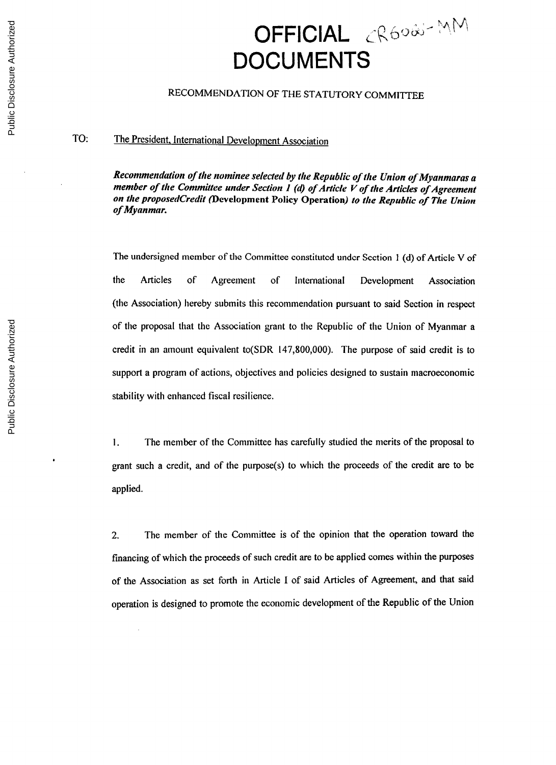## **OFFICIAL** CR6080-MM **DOCUMENTS**

## **RECOMMENDATION** OF THE STATUTORY COMMITTEE

## TO: The President, International Development Association

*Recommendation of the nominee selected by the Republic of the Union of Myanmaras a member of the Committee under Section I () of Article V of the Articles of Agreement on the proposedCredit* **(Development Policy Operation)** *to the Republic of The Union of Myanmar.*

The undersigned member of the Committee constituted under Section 1 **(d)** of Article V of the Articles of Agreement of International Development Association (the Association) hereby submits this recommendation pursuant to said Section in respect of the proposal that the Association grant to the Republic of the Union of Myanmar a credit in an amount equivalent to(SDR **147,800,000).** The purpose of said credit is to support a program of actions, objectives and policies designed to sustain macroeconomic stability with enhanced fiscal resilience.

**1.** The member of the Committee has carefully studied the merits of the proposal to grant such a credit, and of the purpose(s) to which the proceeds of the credit are to be applied.

2. The member of the Committee is of the opinion that the operation toward the financing of which the proceeds of such credit are to **be** applied comes within the purposes of the Association as set forth in Article **I** of said Articles of Agreement, and that said operation is designed to promote the economic development of the Republic of the Union